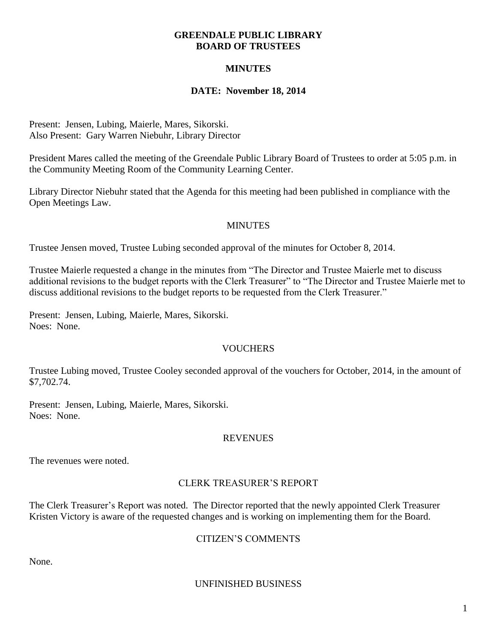#### **GREENDALE PUBLIC LIBRARY BOARD OF TRUSTEES**

## **MINUTES**

#### **DATE: November 18, 2014**

Present: Jensen, Lubing, Maierle, Mares, Sikorski. Also Present: Gary Warren Niebuhr, Library Director

President Mares called the meeting of the Greendale Public Library Board of Trustees to order at 5:05 p.m. in the Community Meeting Room of the Community Learning Center.

Library Director Niebuhr stated that the Agenda for this meeting had been published in compliance with the Open Meetings Law.

#### **MINUTES**

Trustee Jensen moved, Trustee Lubing seconded approval of the minutes for October 8, 2014.

Trustee Maierle requested a change in the minutes from "The Director and Trustee Maierle met to discuss additional revisions to the budget reports with the Clerk Treasurer" to "The Director and Trustee Maierle met to discuss additional revisions to the budget reports to be requested from the Clerk Treasurer."

Present: Jensen, Lubing, Maierle, Mares, Sikorski. Noes: None.

### VOUCHERS

Trustee Lubing moved, Trustee Cooley seconded approval of the vouchers for October, 2014, in the amount of \$7,702.74.

Present: Jensen, Lubing, Maierle, Mares, Sikorski. Noes: None.

#### **REVENUES**

The revenues were noted.

### CLERK TREASURER'S REPORT

The Clerk Treasurer's Report was noted. The Director reported that the newly appointed Clerk Treasurer Kristen Victory is aware of the requested changes and is working on implementing them for the Board.

### CITIZEN'S COMMENTS

None.

#### UNFINISHED BUSINESS